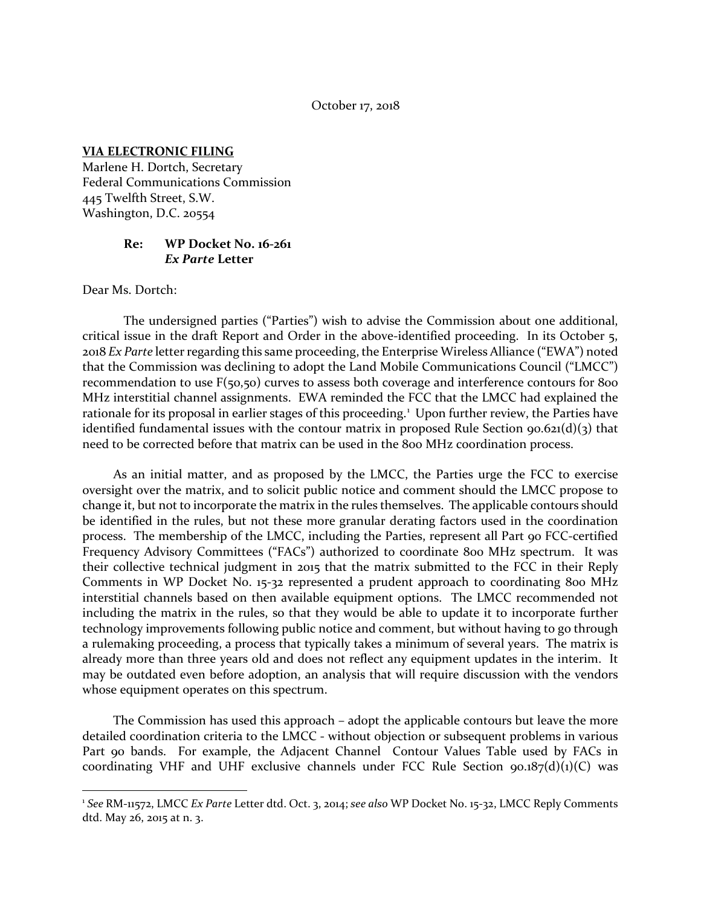#### October 17, 2018

#### **VIA ELECTRONIC FILING**

Marlene H. Dortch, Secretary Federal Communications Commission 445 Twelfth Street, S.W. Washington, D.C. 20554

### **Re: WP Docket No. 16-261** *Ex Parte* **Letter**

Dear Ms. Dortch:

 $\overline{a}$ 

The undersigned parties ("Parties") wish to advise the Commission about one additional, critical issue in the draft Report and Order in the above-identified proceeding. In its October 5, 2018 *Ex Parte* letter regarding this same proceeding, the Enterprise Wireless Alliance ("EWA") noted that the Commission was declining to adopt the Land Mobile Communications Council ("LMCC") recommendation to use F(50,50) curves to assess both coverage and interference contours for 800 MHz interstitial channel assignments. EWA reminded the FCC that the LMCC had explained the rationale for its proposal in earlier stages of this proceeding.<sup>[1](#page-0-0)</sup> Upon further review, the Parties have identified fundamental issues with the contour matrix in proposed Rule Section 90.621(d)(3) that need to be corrected before that matrix can be used in the 800 MHz coordination process.

As an initial matter, and as proposed by the LMCC, the Parties urge the FCC to exercise oversight over the matrix, and to solicit public notice and comment should the LMCC propose to change it, but not to incorporate the matrix in the rules themselves. The applicable contours should be identified in the rules, but not these more granular derating factors used in the coordination process. The membership of the LMCC, including the Parties, represent all Part 90 FCC-certified Frequency Advisory Committees ("FACs") authorized to coordinate 800 MHz spectrum. It was their collective technical judgment in 2015 that the matrix submitted to the FCC in their Reply Comments in WP Docket No. 15-32 represented a prudent approach to coordinating 800 MHz interstitial channels based on then available equipment options. The LMCC recommended not including the matrix in the rules, so that they would be able to update it to incorporate further technology improvements following public notice and comment, but without having to go through a rulemaking proceeding, a process that typically takes a minimum of several years. The matrix is already more than three years old and does not reflect any equipment updates in the interim. It may be outdated even before adoption, an analysis that will require discussion with the vendors whose equipment operates on this spectrum.

The Commission has used this approach – adopt the applicable contours but leave the more detailed coordination criteria to the LMCC - without objection or subsequent problems in various Part 90 bands. For example, the Adjacent Channel Contour Values Table used by FACs in coordinating VHF and UHF exclusive channels under FCC Rule Section  $90.187(d)(1)(C)$  was

<span id="page-0-0"></span><sup>1</sup> *See* RM-11572, LMCC *Ex Parte* Letter dtd. Oct. 3, 2014; *see also* WP Docket No. 15-32, LMCC Reply Comments dtd. May 26, 2015 at n. 3.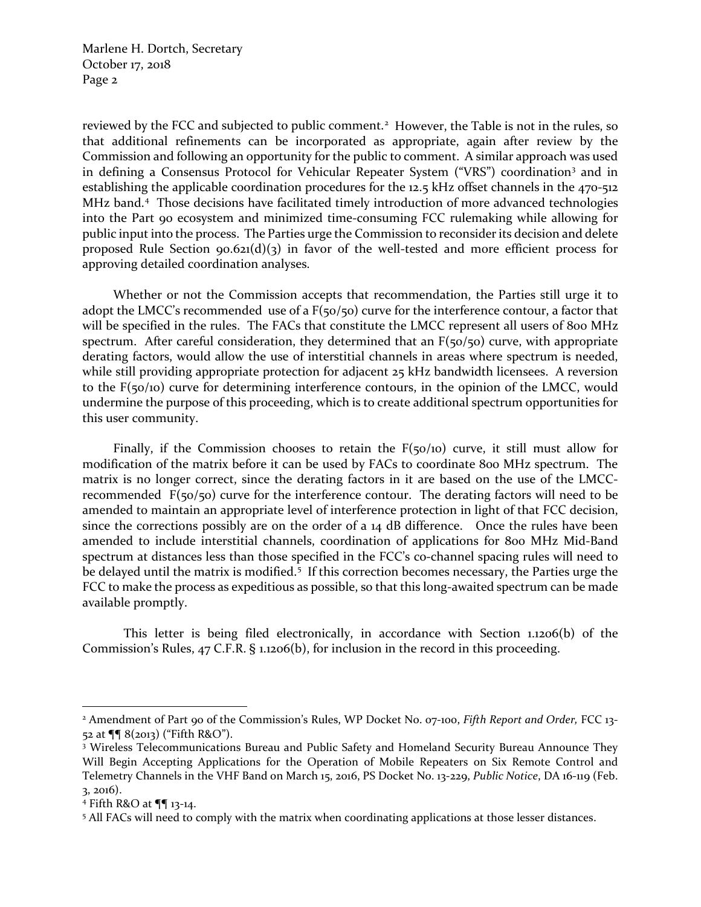Marlene H. Dortch, Secretary October 17, 2018 Page 2

reviewed by the FCC and subjected to public comment.<sup>[2](#page-1-0)</sup> However, the Table is not in the rules, so that additional refinements can be incorporated as appropriate, again after review by the Commission and following an opportunity for the public to comment. A similar approach was used in defining a Consensus Protocol for Vehicular Repeater System ("VRS") coordination[3](#page-1-1) and in establishing the applicable coordination procedures for the 12.5 kHz offset channels in the 470-512 MHz band.<sup>[4](#page-1-2)</sup> Those decisions have facilitated timely introduction of more advanced technologies into the Part 90 ecosystem and minimized time-consuming FCC rulemaking while allowing for public input into the process. The Parties urge the Commission to reconsider its decision and delete proposed Rule Section 90.621(d)(3) in favor of the well-tested and more efficient process for approving detailed coordination analyses.

Whether or not the Commission accepts that recommendation, the Parties still urge it to adopt the LMCC's recommended use of a F(50/50) curve for the interference contour, a factor that will be specified in the rules. The FACs that constitute the LMCC represent all users of 800 MHz spectrum. After careful consideration, they determined that an  $F(50/50)$  curve, with appropriate derating factors, would allow the use of interstitial channels in areas where spectrum is needed, while still providing appropriate protection for adjacent 25 kHz bandwidth licensees. A reversion to the F(50/10) curve for determining interference contours, in the opinion of the LMCC, would undermine the purpose of this proceeding, which is to create additional spectrum opportunities for this user community.

Finally, if the Commission chooses to retain the  $F(50/10)$  curve, it still must allow for modification of the matrix before it can be used by FACs to coordinate 800 MHz spectrum. The matrix is no longer correct, since the derating factors in it are based on the use of the LMCCrecommended F(50/50) curve for the interference contour. The derating factors will need to be amended to maintain an appropriate level of interference protection in light of that FCC decision, since the corrections possibly are on the order of a 14 dB difference. Once the rules have been amended to include interstitial channels, coordination of applications for 800 MHz Mid-Band spectrum at distances less than those specified in the FCC's co-channel spacing rules will need to be delayed until the matrix is modified.<sup>[5](#page-1-3)</sup> If this correction becomes necessary, the Parties urge the FCC to make the process as expeditious as possible, so that this long-awaited spectrum can be made available promptly.

This letter is being filed electronically, in accordance with Section 1.1206(b) of the Commission's Rules, 47 C.F.R. § 1.1206(b), for inclusion in the record in this proceeding.

l

<span id="page-1-0"></span><sup>2</sup> Amendment of Part 90 of the Commission's Rules, WP Docket No. 07-100, *Fifth Report and Order,* FCC 13- 52 at ¶¶ 8(2013) ("Fifth R&O").<br><sup>3</sup> Wireless Telecommunications Bureau and Public Safety and Homeland Security Bureau Announce They

<span id="page-1-1"></span>Will Begin Accepting Applications for the Operation of Mobile Repeaters on Six Remote Control and Telemetry Channels in the VHF Band on March 15, 2016, PS Docket No. 13-229, *Public Notice*, DA 16-119 (Feb. 3, 2016).

<span id="page-1-3"></span><span id="page-1-2"></span>

<sup>&</sup>lt;sup>4</sup> Fifth R&O at  $\P\P$  13-14.<br><sup>5</sup> All FACs will need to comply with the matrix when coordinating applications at those lesser distances.